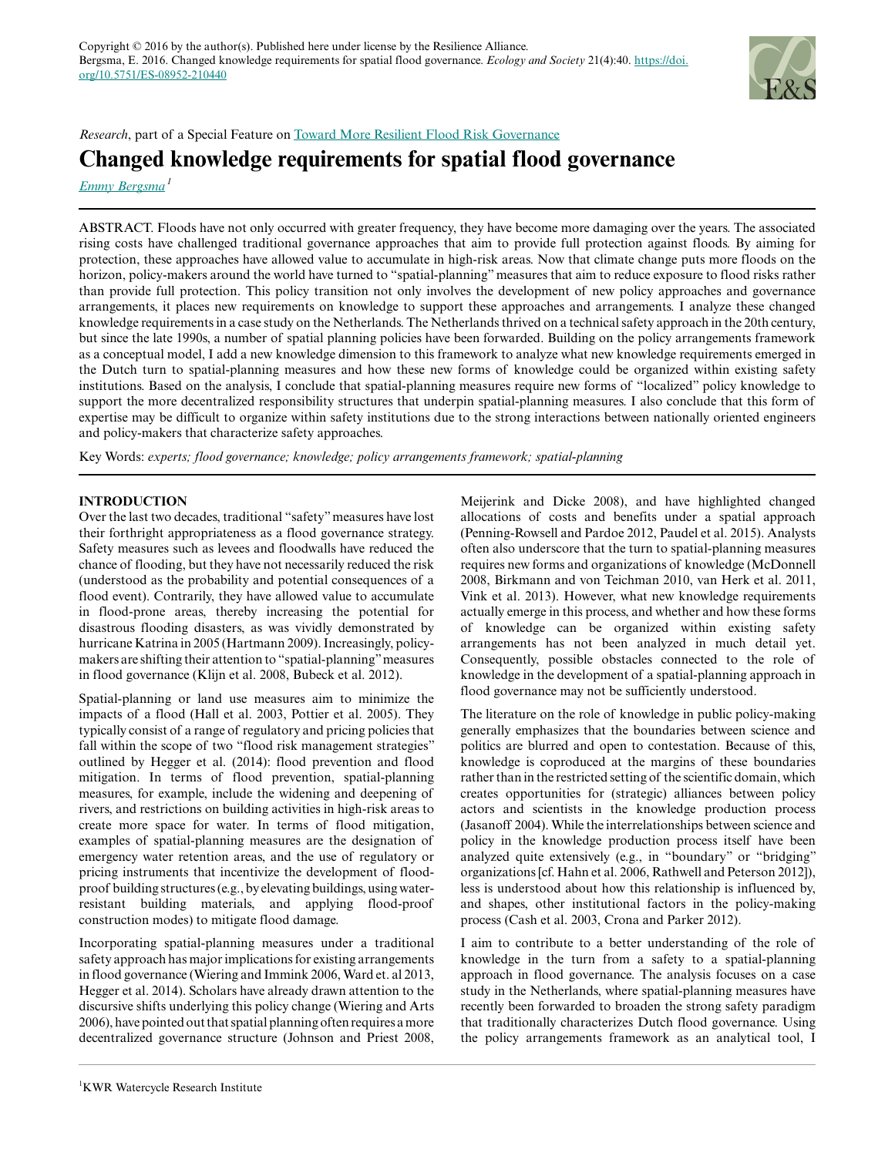

*Research*, part of a Special Feature on [Toward More Resilient Flood Risk Governance](http://www.ecologyandsociety.org/viewissue.php?sf=115)

# **Changed knowledge requirements for spatial flood governance**

*[Emmy Bergsma](mailto:emmy.bergsma@kwrwater.nl)<sup>1</sup>*

ABSTRACT. Floods have not only occurred with greater frequency, they have become more damaging over the years. The associated rising costs have challenged traditional governance approaches that aim to provide full protection against floods. By aiming for protection, these approaches have allowed value to accumulate in high-risk areas. Now that climate change puts more floods on the horizon, policy-makers around the world have turned to "spatial-planning" measures that aim to reduce exposure to flood risks rather than provide full protection. This policy transition not only involves the development of new policy approaches and governance arrangements, it places new requirements on knowledge to support these approaches and arrangements. I analyze these changed knowledge requirements in a case study on the Netherlands. The Netherlands thrived on a technical safety approach in the 20th century, but since the late 1990s, a number of spatial planning policies have been forwarded. Building on the policy arrangements framework as a conceptual model, I add a new knowledge dimension to this framework to analyze what new knowledge requirements emerged in the Dutch turn to spatial-planning measures and how these new forms of knowledge could be organized within existing safety institutions. Based on the analysis, I conclude that spatial-planning measures require new forms of "localized" policy knowledge to support the more decentralized responsibility structures that underpin spatial-planning measures. I also conclude that this form of expertise may be difficult to organize within safety institutions due to the strong interactions between nationally oriented engineers and policy-makers that characterize safety approaches.

Key Words: *experts; flood governance; knowledge; policy arrangements framework; spatial-planning*

## **INTRODUCTION**

Over the last two decades, traditional "safety" measures have lost their forthright appropriateness as a flood governance strategy. Safety measures such as levees and floodwalls have reduced the chance of flooding, but they have not necessarily reduced the risk (understood as the probability and potential consequences of a flood event). Contrarily, they have allowed value to accumulate in flood-prone areas, thereby increasing the potential for disastrous flooding disasters, as was vividly demonstrated by hurricane Katrina in 2005 (Hartmann 2009). Increasingly, policymakers are shifting their attention to "spatial-planning" measures in flood governance (Klijn et al. 2008, Bubeck et al. 2012).

Spatial-planning or land use measures aim to minimize the impacts of a flood (Hall et al. 2003, Pottier et al. 2005). They typically consist of a range of regulatory and pricing policies that fall within the scope of two "flood risk management strategies" outlined by Hegger et al. (2014): flood prevention and flood mitigation. In terms of flood prevention, spatial-planning measures, for example, include the widening and deepening of rivers, and restrictions on building activities in high-risk areas to create more space for water. In terms of flood mitigation, examples of spatial-planning measures are the designation of emergency water retention areas, and the use of regulatory or pricing instruments that incentivize the development of floodproof building structures (e.g., by elevating buildings, using waterresistant building materials, and applying flood-proof construction modes) to mitigate flood damage.

Incorporating spatial-planning measures under a traditional safety approach has major implications for existing arrangements in flood governance (Wiering and Immink 2006, Ward et. al 2013, Hegger et al. 2014). Scholars have already drawn attention to the discursive shifts underlying this policy change (Wiering and Arts 2006), have pointed out that spatial planning often requires a more decentralized governance structure (Johnson and Priest 2008,

Meijerink and Dicke 2008), and have highlighted changed allocations of costs and benefits under a spatial approach (Penning-Rowsell and Pardoe 2012, Paudel et al. 2015). Analysts often also underscore that the turn to spatial-planning measures requires new forms and organizations of knowledge (McDonnell 2008, Birkmann and von Teichman 2010, van Herk et al. 2011, Vink et al. 2013). However, what new knowledge requirements actually emerge in this process, and whether and how these forms of knowledge can be organized within existing safety arrangements has not been analyzed in much detail yet. Consequently, possible obstacles connected to the role of knowledge in the development of a spatial-planning approach in flood governance may not be sufficiently understood.

The literature on the role of knowledge in public policy-making generally emphasizes that the boundaries between science and politics are blurred and open to contestation. Because of this, knowledge is coproduced at the margins of these boundaries rather than in the restricted setting of the scientific domain, which creates opportunities for (strategic) alliances between policy actors and scientists in the knowledge production process (Jasanoff 2004). While the interrelationships between science and policy in the knowledge production process itself have been analyzed quite extensively (e.g., in "boundary" or "bridging" organizations [cf. Hahn et al. 2006, Rathwell and Peterson 2012]), less is understood about how this relationship is influenced by, and shapes, other institutional factors in the policy-making process (Cash et al. 2003, Crona and Parker 2012).

I aim to contribute to a better understanding of the role of knowledge in the turn from a safety to a spatial-planning approach in flood governance. The analysis focuses on a case study in the Netherlands, where spatial-planning measures have recently been forwarded to broaden the strong safety paradigm that traditionally characterizes Dutch flood governance. Using the policy arrangements framework as an analytical tool, I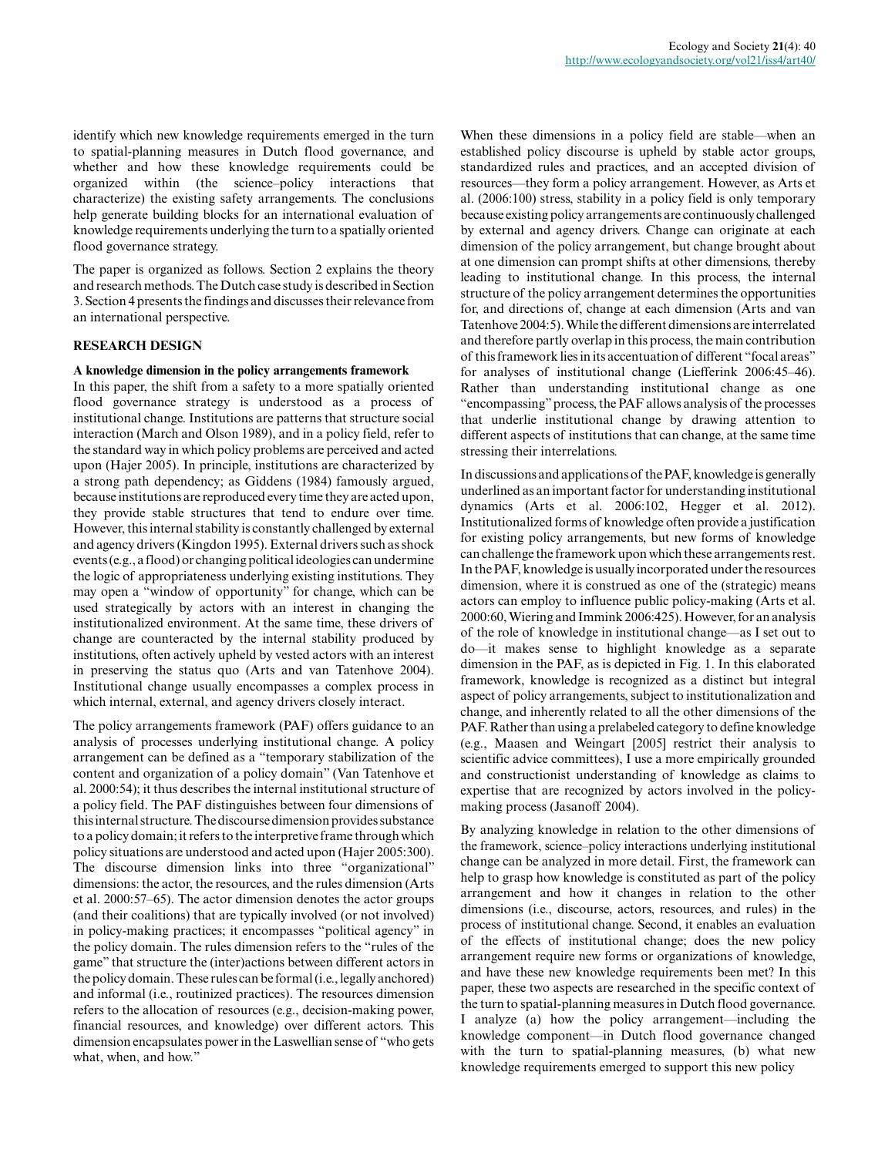identify which new knowledge requirements emerged in the turn to spatial-planning measures in Dutch flood governance, and whether and how these knowledge requirements could be organized within (the science–policy interactions that characterize) the existing safety arrangements. The conclusions help generate building blocks for an international evaluation of knowledge requirements underlying the turn to a spatially oriented flood governance strategy.

The paper is organized as follows. Section 2 explains the theory and research methods. The Dutch case study is described in Section 3. Section 4 presents the findings and discusses their relevance from an international perspective.

# **RESEARCH DESIGN**

## **A knowledge dimension in the policy arrangements framework**

In this paper, the shift from a safety to a more spatially oriented flood governance strategy is understood as a process of institutional change. Institutions are patterns that structure social interaction (March and Olson 1989), and in a policy field, refer to the standard way in which policy problems are perceived and acted upon (Hajer 2005). In principle, institutions are characterized by a strong path dependency; as Giddens (1984) famously argued, because institutions are reproduced every time they are acted upon, they provide stable structures that tend to endure over time. However, this internal stability is constantly challenged by external and agency drivers (Kingdon 1995). External drivers such as shock events (e.g., a flood) or changing political ideologies can undermine the logic of appropriateness underlying existing institutions. They may open a "window of opportunity" for change, which can be used strategically by actors with an interest in changing the institutionalized environment. At the same time, these drivers of change are counteracted by the internal stability produced by institutions, often actively upheld by vested actors with an interest in preserving the status quo (Arts and van Tatenhove 2004). Institutional change usually encompasses a complex process in which internal, external, and agency drivers closely interact.

The policy arrangements framework (PAF) offers guidance to an analysis of processes underlying institutional change. A policy arrangement can be defined as a "temporary stabilization of the content and organization of a policy domain" (Van Tatenhove et al. 2000:54); it thus describes the internal institutional structure of a policy field. The PAF distinguishes between four dimensions of this internal structure. The discourse dimension provides substance to a policy domain; it refers to the interpretive frame through which policy situations are understood and acted upon (Hajer 2005:300). The discourse dimension links into three "organizational" dimensions: the actor, the resources, and the rules dimension (Arts et al. 2000:57–65). The actor dimension denotes the actor groups (and their coalitions) that are typically involved (or not involved) in policy-making practices; it encompasses "political agency" in the policy domain. The rules dimension refers to the "rules of the game" that structure the (inter)actions between different actors in the policy domain. These rules can be formal (i.e., legally anchored) and informal (i.e., routinized practices). The resources dimension refers to the allocation of resources (e.g., decision-making power, financial resources, and knowledge) over different actors. This dimension encapsulates power in the Laswellian sense of "who gets what, when, and how."

When these dimensions in a policy field are stable—when an established policy discourse is upheld by stable actor groups, standardized rules and practices, and an accepted division of resources—they form a policy arrangement. However, as Arts et al. (2006:100) stress, stability in a policy field is only temporary because existing policy arrangements are continuously challenged by external and agency drivers. Change can originate at each dimension of the policy arrangement, but change brought about at one dimension can prompt shifts at other dimensions, thereby leading to institutional change. In this process, the internal structure of the policy arrangement determines the opportunities for, and directions of, change at each dimension (Arts and van Tatenhove 2004:5). While the different dimensions are interrelated and therefore partly overlap in this process, the main contribution of this framework lies in its accentuation of different "focal areas" for analyses of institutional change (Liefferink 2006:45–46). Rather than understanding institutional change as one "encompassing" process, the PAF allows analysis of the processes that underlie institutional change by drawing attention to different aspects of institutions that can change, at the same time stressing their interrelations.

In discussions and applications of the PAF, knowledge is generally underlined as an important factor for understanding institutional dynamics (Arts et al. 2006:102, Hegger et al. 2012). Institutionalized forms of knowledge often provide a justification for existing policy arrangements, but new forms of knowledge can challenge the framework upon which these arrangements rest. In the PAF, knowledge is usually incorporated under the resources dimension, where it is construed as one of the (strategic) means actors can employ to influence public policy-making (Arts et al. 2000:60, Wiering and Immink 2006:425). However, for an analysis of the role of knowledge in institutional change—as I set out to do—it makes sense to highlight knowledge as a separate dimension in the PAF, as is depicted in Fig. 1. In this elaborated framework, knowledge is recognized as a distinct but integral aspect of policy arrangements, subject to institutionalization and change, and inherently related to all the other dimensions of the PAF. Rather than using a prelabeled category to define knowledge (e.g., Maasen and Weingart [2005] restrict their analysis to scientific advice committees), I use a more empirically grounded and constructionist understanding of knowledge as claims to expertise that are recognized by actors involved in the policymaking process (Jasanoff 2004).

By analyzing knowledge in relation to the other dimensions of the framework, science–policy interactions underlying institutional change can be analyzed in more detail. First, the framework can help to grasp how knowledge is constituted as part of the policy arrangement and how it changes in relation to the other dimensions (i.e., discourse, actors, resources, and rules) in the process of institutional change. Second, it enables an evaluation of the effects of institutional change; does the new policy arrangement require new forms or organizations of knowledge, and have these new knowledge requirements been met? In this paper, these two aspects are researched in the specific context of the turn to spatial-planning measures in Dutch flood governance. I analyze (a) how the policy arrangement—including the knowledge component—in Dutch flood governance changed with the turn to spatial-planning measures, (b) what new knowledge requirements emerged to support this new policy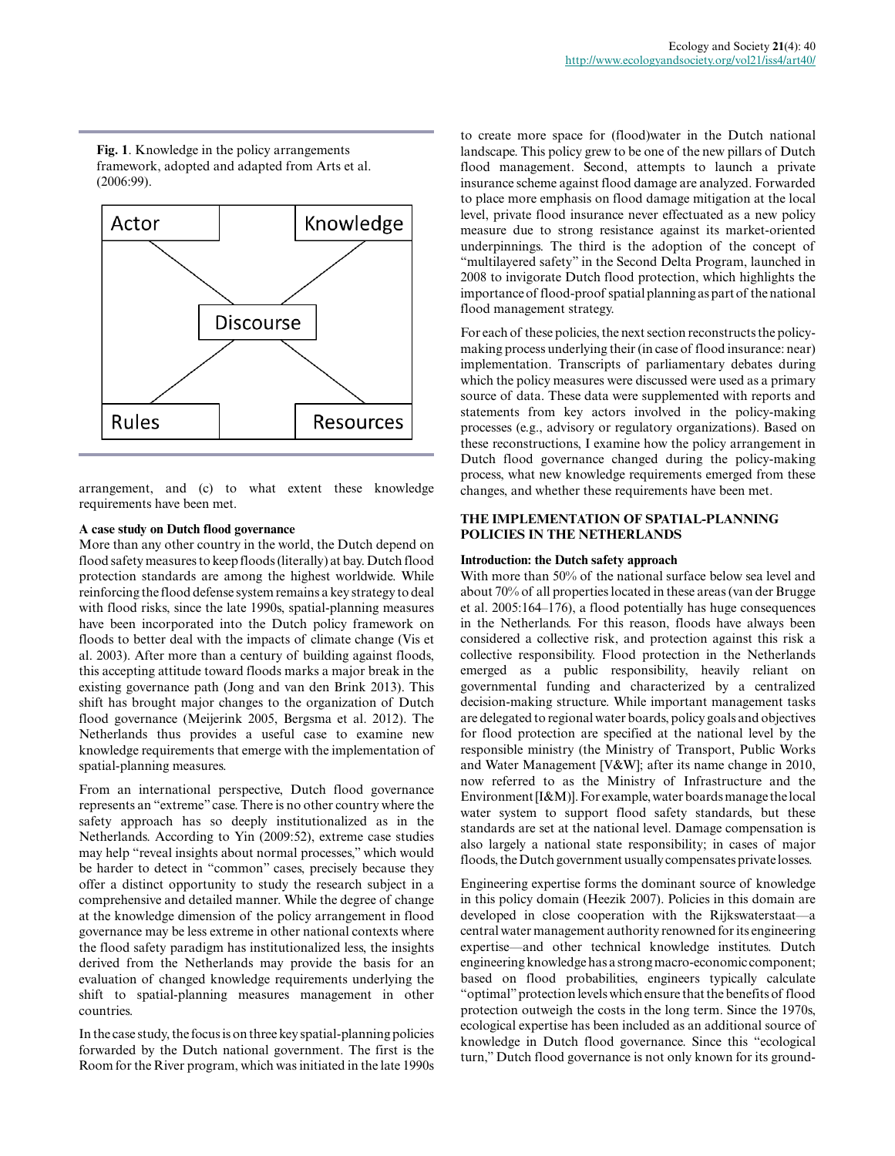**Fig. 1**. Knowledge in the policy arrangements framework, adopted and adapted from Arts et al. (2006:99).



arrangement, and (c) to what extent these knowledge requirements have been met.

## **A case study on Dutch flood governance**

More than any other country in the world, the Dutch depend on flood safety measures to keep floods (literally) at bay. Dutch flood protection standards are among the highest worldwide. While reinforcing the flood defense system remains a key strategy to deal with flood risks, since the late 1990s, spatial-planning measures have been incorporated into the Dutch policy framework on floods to better deal with the impacts of climate change (Vis et al. 2003). After more than a century of building against floods, this accepting attitude toward floods marks a major break in the existing governance path (Jong and van den Brink 2013). This shift has brought major changes to the organization of Dutch flood governance (Meijerink 2005, Bergsma et al. 2012). The Netherlands thus provides a useful case to examine new knowledge requirements that emerge with the implementation of spatial-planning measures.

From an international perspective, Dutch flood governance represents an "extreme" case. There is no other country where the safety approach has so deeply institutionalized as in the Netherlands. According to Yin (2009:52), extreme case studies may help "reveal insights about normal processes," which would be harder to detect in "common" cases, precisely because they offer a distinct opportunity to study the research subject in a comprehensive and detailed manner. While the degree of change at the knowledge dimension of the policy arrangement in flood governance may be less extreme in other national contexts where the flood safety paradigm has institutionalized less, the insights derived from the Netherlands may provide the basis for an evaluation of changed knowledge requirements underlying the shift to spatial-planning measures management in other countries.

In the case study, the focus is on three key spatial-planning policies forwarded by the Dutch national government. The first is the Room for the River program, which was initiated in the late 1990s

to create more space for (flood)water in the Dutch national landscape. This policy grew to be one of the new pillars of Dutch flood management. Second, attempts to launch a private insurance scheme against flood damage are analyzed. Forwarded to place more emphasis on flood damage mitigation at the local level, private flood insurance never effectuated as a new policy measure due to strong resistance against its market-oriented underpinnings. The third is the adoption of the concept of "multilayered safety" in the Second Delta Program, launched in 2008 to invigorate Dutch flood protection, which highlights the importance of flood-proof spatial planning as part of the national flood management strategy.

For each of these policies, the next section reconstructs the policymaking process underlying their (in case of flood insurance: near) implementation. Transcripts of parliamentary debates during which the policy measures were discussed were used as a primary source of data. These data were supplemented with reports and statements from key actors involved in the policy-making processes (e.g., advisory or regulatory organizations). Based on these reconstructions, I examine how the policy arrangement in Dutch flood governance changed during the policy-making process, what new knowledge requirements emerged from these changes, and whether these requirements have been met.

#### **THE IMPLEMENTATION OF SPATIAL-PLANNING POLICIES IN THE NETHERLANDS**

#### **Introduction: the Dutch safety approach**

With more than 50% of the national surface below sea level and about 70% of all properties located in these areas (van der Brugge et al. 2005:164–176), a flood potentially has huge consequences in the Netherlands. For this reason, floods have always been considered a collective risk, and protection against this risk a collective responsibility. Flood protection in the Netherlands emerged as a public responsibility, heavily reliant on governmental funding and characterized by a centralized decision-making structure. While important management tasks are delegated to regional water boards, policy goals and objectives for flood protection are specified at the national level by the responsible ministry (the Ministry of Transport, Public Works and Water Management [V&W]; after its name change in 2010, now referred to as the Ministry of Infrastructure and the Environment [I&M)]. For example, water boards manage the local water system to support flood safety standards, but these standards are set at the national level. Damage compensation is also largely a national state responsibility; in cases of major floods, the Dutch government usually compensates private losses.

Engineering expertise forms the dominant source of knowledge in this policy domain (Heezik 2007). Policies in this domain are developed in close cooperation with the Rijkswaterstaat—a central water management authority renowned for its engineering expertise—and other technical knowledge institutes. Dutch engineering knowledge has a strong macro-economic component; based on flood probabilities, engineers typically calculate "optimal" protection levels which ensure that the benefits of flood protection outweigh the costs in the long term. Since the 1970s, ecological expertise has been included as an additional source of knowledge in Dutch flood governance. Since this "ecological turn," Dutch flood governance is not only known for its ground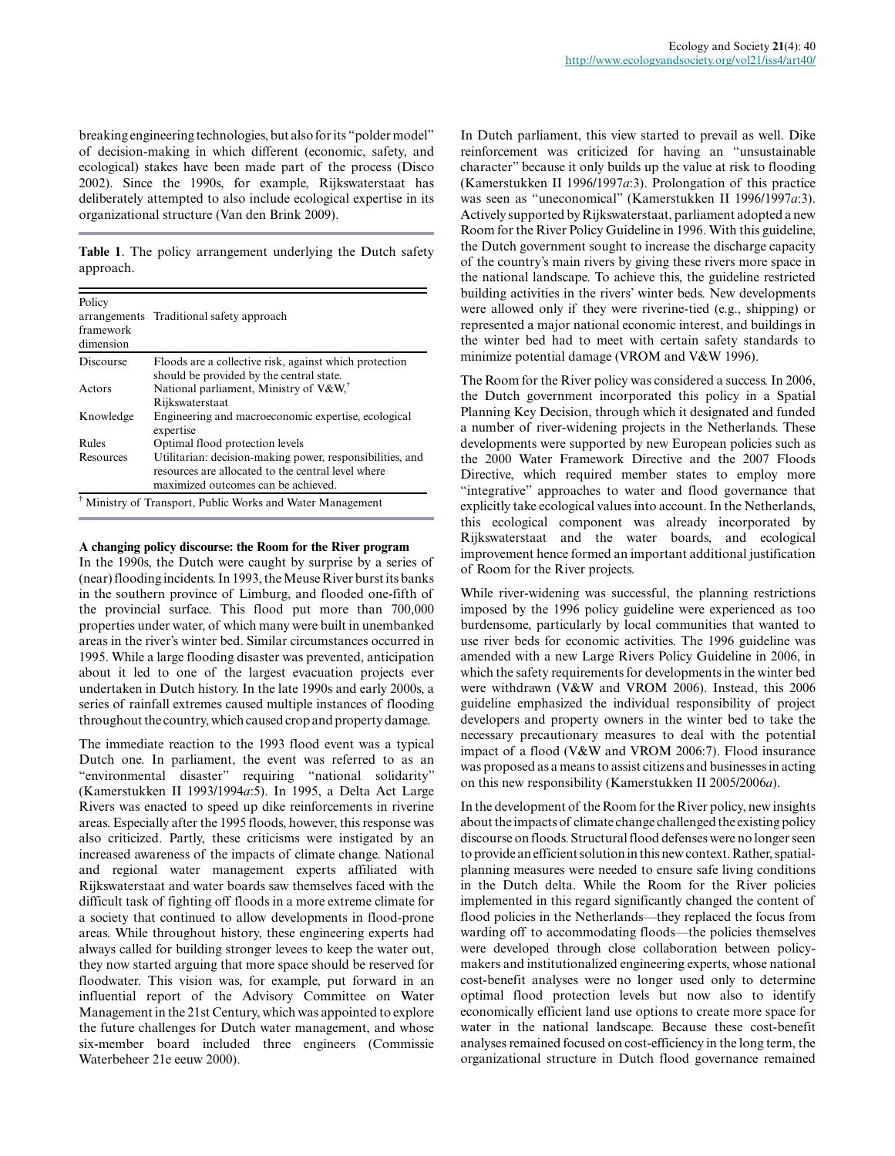breaking engineering technologies, but also for its "polder model" of decision-making in which different (economic, safety, and ecological) stakes have been made part of the process (Disco 2002). Since the 1990s, for example, Rijkswaterstaat has deliberately attempted to also include ecological expertise in its organizational structure (Van den Brink 2009).

**Table 1**. The policy arrangement underlying the Dutch safety approach.

| Policy<br>framework<br>dimension | arrangements Traditional safety approach                                                                                                               |
|----------------------------------|--------------------------------------------------------------------------------------------------------------------------------------------------------|
| Discourse                        | Floods are a collective risk, against which protection<br>should be provided by the central state.                                                     |
| Actors                           | National parliament, Ministry of V&W, <sup>†</sup><br>Rijkswaterstaat                                                                                  |
| Knowledge                        | Engineering and macroeconomic expertise, ecological<br>expertise                                                                                       |
| Rules                            | Optimal flood protection levels                                                                                                                        |
| Resources                        | Utilitarian: decision-making power, responsibilities, and<br>resources are allocated to the central level where<br>maximized outcomes can be achieved. |

#### **A changing policy discourse: the Room for the River program**

In the 1990s, the Dutch were caught by surprise by a series of (near) flooding incidents. In 1993, the Meuse River burst its banks in the southern province of Limburg, and flooded one-fifth of the provincial surface. This flood put more than 700,000 properties under water, of which many were built in unembanked areas in the river's winter bed. Similar circumstances occurred in 1995. While a large flooding disaster was prevented, anticipation about it led to one of the largest evacuation projects ever undertaken in Dutch history. In the late 1990s and early 2000s, a series of rainfall extremes caused multiple instances of flooding throughout the country, which caused crop and property damage.

The immediate reaction to the 1993 flood event was a typical Dutch one. In parliament, the event was referred to as an "environmental disaster" requiring "national solidarity" (Kamerstukken II 1993/1994*a*:5). In 1995, a Delta Act Large Rivers was enacted to speed up dike reinforcements in riverine areas. Especially after the 1995 floods, however, this response was also criticized. Partly, these criticisms were instigated by an increased awareness of the impacts of climate change. National and regional water management experts affiliated with Rijkswaterstaat and water boards saw themselves faced with the difficult task of fighting off floods in a more extreme climate for a society that continued to allow developments in flood-prone areas. While throughout history, these engineering experts had always called for building stronger levees to keep the water out, they now started arguing that more space should be reserved for floodwater. This vision was, for example, put forward in an influential report of the Advisory Committee on Water Management in the 21st Century, which was appointed to explore the future challenges for Dutch water management, and whose six-member board included three engineers (Commissie Waterbeheer 21e eeuw 2000).

In Dutch parliament, this view started to prevail as well. Dike reinforcement was criticized for having an "unsustainable character" because it only builds up the value at risk to flooding (Kamerstukken II 1996/1997*a*:3). Prolongation of this practice was seen as "uneconomical" (Kamerstukken II 1996/1997*a*:3). Actively supported by Rijkswaterstaat, parliament adopted a new Room for the River Policy Guideline in 1996. With this guideline, the Dutch government sought to increase the discharge capacity of the country's main rivers by giving these rivers more space in the national landscape. To achieve this, the guideline restricted building activities in the rivers' winter beds. New developments were allowed only if they were riverine-tied (e.g., shipping) or represented a major national economic interest, and buildings in the winter bed had to meet with certain safety standards to minimize potential damage (VROM and V&W 1996).

The Room for the River policy was considered a success. In 2006, the Dutch government incorporated this policy in a Spatial Planning Key Decision, through which it designated and funded a number of river-widening projects in the Netherlands. These developments were supported by new European policies such as the 2000 Water Framework Directive and the 2007 Floods Directive, which required member states to employ more "integrative" approaches to water and flood governance that explicitly take ecological values into account. In the Netherlands, this ecological component was already incorporated by Rijkswaterstaat and the water boards, and ecological improvement hence formed an important additional justification of Room for the River projects.

While river-widening was successful, the planning restrictions imposed by the 1996 policy guideline were experienced as too burdensome, particularly by local communities that wanted to use river beds for economic activities. The 1996 guideline was amended with a new Large Rivers Policy Guideline in 2006, in which the safety requirements for developments in the winter bed were withdrawn (V&W and VROM 2006). Instead, this 2006 guideline emphasized the individual responsibility of project developers and property owners in the winter bed to take the necessary precautionary measures to deal with the potential impact of a flood (V&W and VROM 2006:7). Flood insurance was proposed as a means to assist citizens and businesses in acting on this new responsibility (Kamerstukken II 2005/2006*a*).

In the development of the Room for the River policy, new insights about the impacts of climate change challenged the existing policy discourse on floods. Structural flood defenses were no longer seen to provide an efficient solution in this new context. Rather, spatialplanning measures were needed to ensure safe living conditions in the Dutch delta. While the Room for the River policies implemented in this regard significantly changed the content of flood policies in the Netherlands—they replaced the focus from warding off to accommodating floods—the policies themselves were developed through close collaboration between policymakers and institutionalized engineering experts, whose national cost-benefit analyses were no longer used only to determine optimal flood protection levels but now also to identify economically efficient land use options to create more space for water in the national landscape. Because these cost-benefit analyses remained focused on cost-efficiency in the long term, the organizational structure in Dutch flood governance remained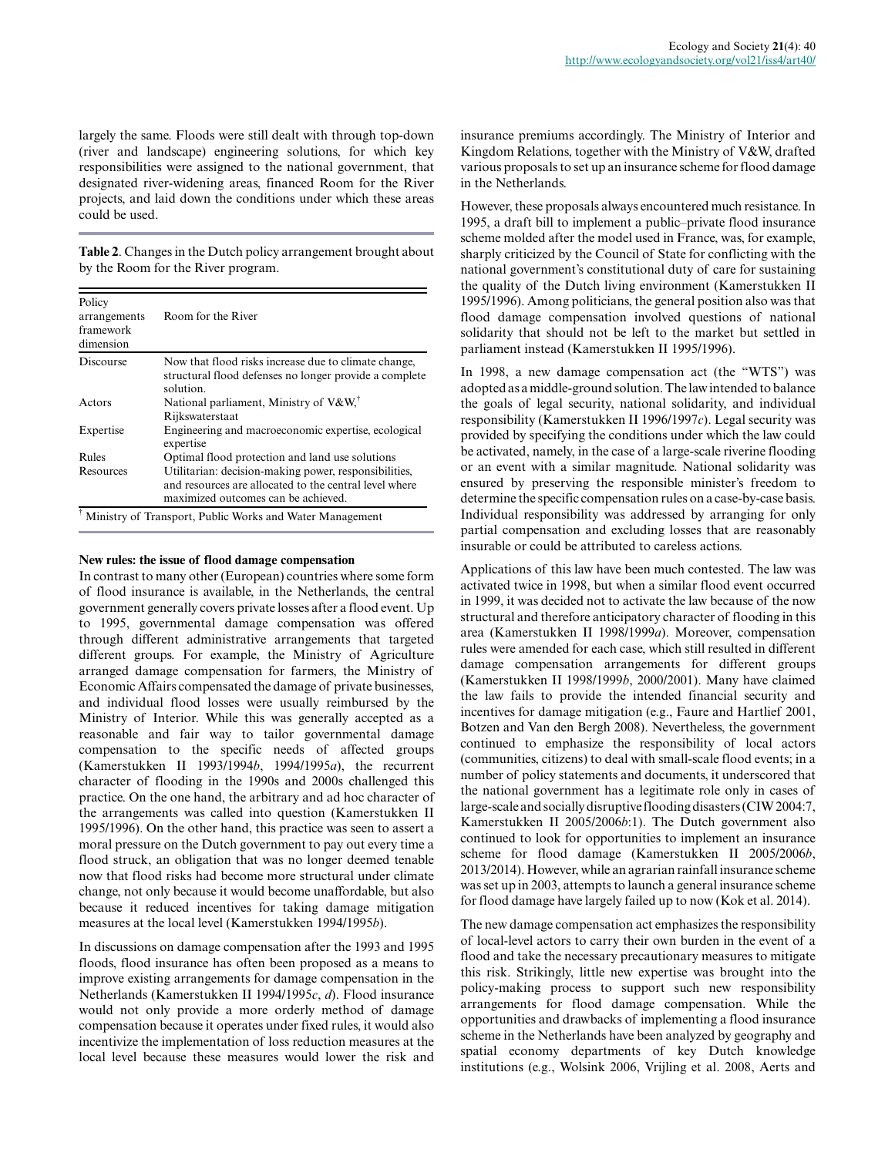largely the same. Floods were still dealt with through top-down (river and landscape) engineering solutions, for which key responsibilities were assigned to the national government, that designated river-widening areas, financed Room for the River projects, and laid down the conditions under which these areas could be used.

**Table 2**. Changes in the Dutch policy arrangement brought about by the Room for the River program.

| Policy<br>arrangements<br>framework<br>dimension | Room for the River                                                                                                                                     |
|--------------------------------------------------|--------------------------------------------------------------------------------------------------------------------------------------------------------|
| Discourse                                        | Now that flood risks increase due to climate change,<br>structural flood defenses no longer provide a complete<br>solution.                            |
| Actors                                           | National parliament, Ministry of V&W,<br>Rijkswaterstaat                                                                                               |
| Expertise                                        | Engineering and macroeconomic expertise, ecological<br>expertise                                                                                       |
| Rules                                            | Optimal flood protection and land use solutions                                                                                                        |
| Resources                                        | Utilitarian: decision-making power, responsibilities,<br>and resources are allocated to the central level where<br>maximized outcomes can be achieved. |
|                                                  | Ministry of Transport, Public Works and Water Management                                                                                               |

#### **New rules: the issue of flood damage compensation**

In contrast to many other (European) countries where some form of flood insurance is available, in the Netherlands, the central government generally covers private losses after a flood event. Up to 1995, governmental damage compensation was offered through different administrative arrangements that targeted different groups. For example, the Ministry of Agriculture arranged damage compensation for farmers, the Ministry of Economic Affairs compensated the damage of private businesses, and individual flood losses were usually reimbursed by the Ministry of Interior. While this was generally accepted as a reasonable and fair way to tailor governmental damage compensation to the specific needs of affected groups (Kamerstukken II 1993/1994*b*, 1994/1995*a*), the recurrent character of flooding in the 1990s and 2000s challenged this practice. On the one hand, the arbitrary and ad hoc character of the arrangements was called into question (Kamerstukken II 1995/1996). On the other hand, this practice was seen to assert a moral pressure on the Dutch government to pay out every time a flood struck, an obligation that was no longer deemed tenable now that flood risks had become more structural under climate change, not only because it would become unaffordable, but also because it reduced incentives for taking damage mitigation measures at the local level (Kamerstukken 1994/1995*b*).

In discussions on damage compensation after the 1993 and 1995 floods, flood insurance has often been proposed as a means to improve existing arrangements for damage compensation in the Netherlands (Kamerstukken II 1994/1995*c*, *d*). Flood insurance would not only provide a more orderly method of damage compensation because it operates under fixed rules, it would also incentivize the implementation of loss reduction measures at the local level because these measures would lower the risk and insurance premiums accordingly. The Ministry of Interior and Kingdom Relations, together with the Ministry of V&W, drafted various proposals to set up an insurance scheme for flood damage in the Netherlands.

However, these proposals always encountered much resistance. In 1995, a draft bill to implement a public–private flood insurance scheme molded after the model used in France, was, for example, sharply criticized by the Council of State for conflicting with the national government's constitutional duty of care for sustaining the quality of the Dutch living environment (Kamerstukken II 1995/1996). Among politicians, the general position also was that flood damage compensation involved questions of national solidarity that should not be left to the market but settled in parliament instead (Kamerstukken II 1995/1996).

In 1998, a new damage compensation act (the "WTS") was adopted as a middle-ground solution. The law intended to balance the goals of legal security, national solidarity, and individual responsibility (Kamerstukken II 1996/1997*c*). Legal security was provided by specifying the conditions under which the law could be activated, namely, in the case of a large-scale riverine flooding or an event with a similar magnitude. National solidarity was ensured by preserving the responsible minister's freedom to determine the specific compensation rules on a case-by-case basis. Individual responsibility was addressed by arranging for only partial compensation and excluding losses that are reasonably insurable or could be attributed to careless actions.

Applications of this law have been much contested. The law was activated twice in 1998, but when a similar flood event occurred in 1999, it was decided not to activate the law because of the now structural and therefore anticipatory character of flooding in this area (Kamerstukken II 1998/1999*a*). Moreover, compensation rules were amended for each case, which still resulted in different damage compensation arrangements for different groups (Kamerstukken II 1998/1999*b*, 2000/2001). Many have claimed the law fails to provide the intended financial security and incentives for damage mitigation (e.g., Faure and Hartlief 2001, Botzen and Van den Bergh 2008). Nevertheless, the government continued to emphasize the responsibility of local actors (communities, citizens) to deal with small-scale flood events; in a number of policy statements and documents, it underscored that the national government has a legitimate role only in cases of large-scale and socially disruptive flooding disasters (CIW 2004:7, Kamerstukken II 2005/2006*b*:1). The Dutch government also continued to look for opportunities to implement an insurance scheme for flood damage (Kamerstukken II 2005/2006*b*, 2013/2014). However, while an agrarian rainfall insurance scheme was set up in 2003, attempts to launch a general insurance scheme for flood damage have largely failed up to now (Kok et al. 2014).

The new damage compensation act emphasizes the responsibility of local-level actors to carry their own burden in the event of a flood and take the necessary precautionary measures to mitigate this risk. Strikingly, little new expertise was brought into the policy-making process to support such new responsibility arrangements for flood damage compensation. While the opportunities and drawbacks of implementing a flood insurance scheme in the Netherlands have been analyzed by geography and spatial economy departments of key Dutch knowledge institutions (e.g., Wolsink 2006, Vrijling et al. 2008, Aerts and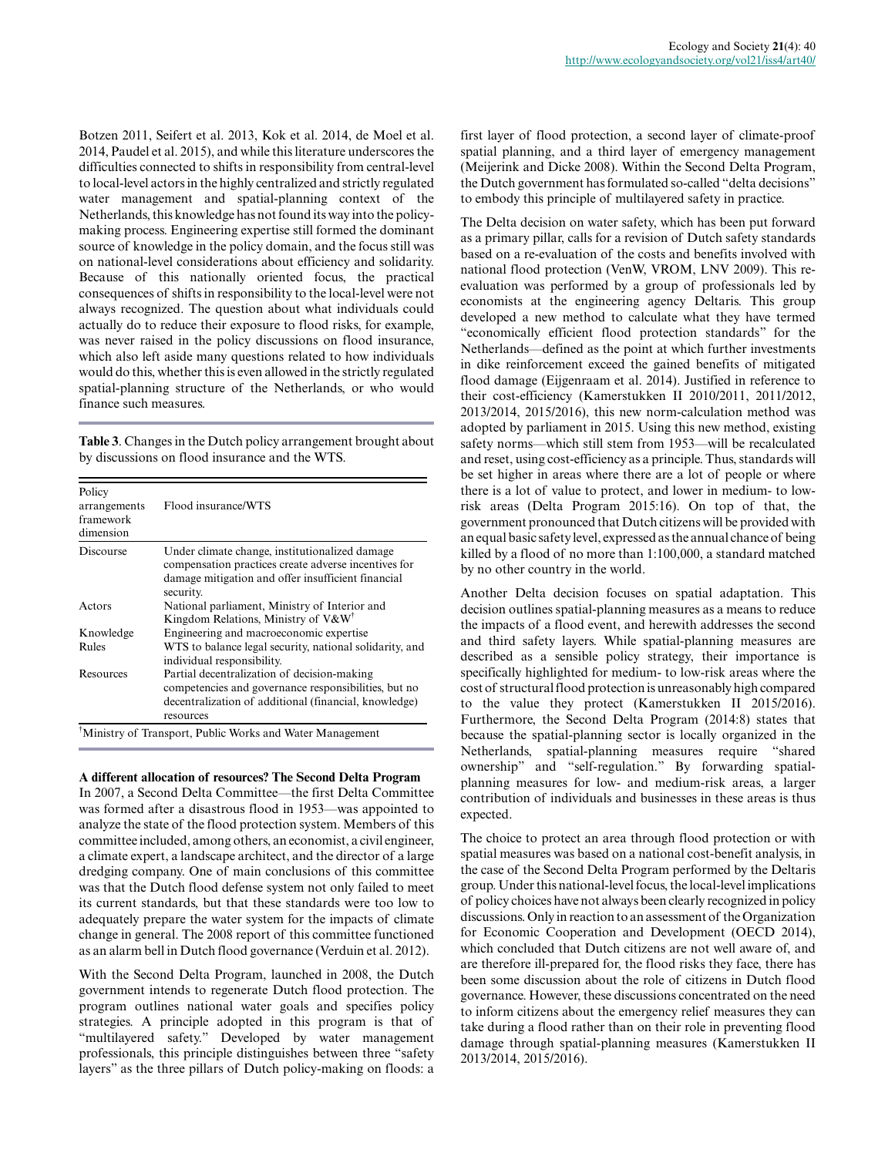Botzen 2011, Seifert et al. 2013, Kok et al. 2014, de Moel et al. 2014, Paudel et al. 2015), and while this literature underscores the difficulties connected to shifts in responsibility from central-level to local-level actors in the highly centralized and strictly regulated water management and spatial-planning context of the Netherlands, this knowledge has not found its way into the policymaking process. Engineering expertise still formed the dominant source of knowledge in the policy domain, and the focus still was on national-level considerations about efficiency and solidarity. Because of this nationally oriented focus, the practical consequences of shifts in responsibility to the local-level were not always recognized. The question about what individuals could actually do to reduce their exposure to flood risks, for example, was never raised in the policy discussions on flood insurance, which also left aside many questions related to how individuals would do this, whether this is even allowed in the strictly regulated spatial-planning structure of the Netherlands, or who would finance such measures.

**Table 3**. Changes in the Dutch policy arrangement brought about by discussions on flood insurance and the WTS.

| Policy<br>arrangements<br>framework<br>dimension | Flood insurance/WTS                                                                                                                                                       |
|--------------------------------------------------|---------------------------------------------------------------------------------------------------------------------------------------------------------------------------|
| Discourse                                        | Under climate change, institutionalized damage<br>compensation practices create adverse incentives for<br>damage mitigation and offer insufficient financial<br>security. |
| Actors                                           | National parliament, Ministry of Interior and<br>Kingdom Relations, Ministry of $V\&W^{\dagger}$                                                                          |
| Knowledge                                        | Engineering and macroeconomic expertise                                                                                                                                   |
| Rules                                            | WTS to balance legal security, national solidarity, and<br>individual responsibility.                                                                                     |
| Resources                                        | Partial decentralization of decision-making<br>competencies and governance responsibilities, but no<br>decentralization of additional (financial, knowledge)<br>resources |

†Ministry of Transport, Public Works and Water Management

#### **A different allocation of resources? The Second Delta Program**

In 2007, a Second Delta Committee—the first Delta Committee was formed after a disastrous flood in 1953—was appointed to analyze the state of the flood protection system. Members of this committee included, among others, an economist, a civil engineer, a climate expert, a landscape architect, and the director of a large dredging company. One of main conclusions of this committee was that the Dutch flood defense system not only failed to meet its current standards, but that these standards were too low to adequately prepare the water system for the impacts of climate change in general. The 2008 report of this committee functioned as an alarm bell in Dutch flood governance (Verduin et al. 2012).

With the Second Delta Program, launched in 2008, the Dutch government intends to regenerate Dutch flood protection. The program outlines national water goals and specifies policy strategies. A principle adopted in this program is that of "multilayered safety." Developed by water management professionals, this principle distinguishes between three "safety layers" as the three pillars of Dutch policy-making on floods: a first layer of flood protection, a second layer of climate-proof spatial planning, and a third layer of emergency management (Meijerink and Dicke 2008). Within the Second Delta Program, the Dutch government has formulated so-called "delta decisions" to embody this principle of multilayered safety in practice.

The Delta decision on water safety, which has been put forward as a primary pillar, calls for a revision of Dutch safety standards based on a re-evaluation of the costs and benefits involved with national flood protection (VenW, VROM, LNV 2009). This reevaluation was performed by a group of professionals led by economists at the engineering agency Deltaris. This group developed a new method to calculate what they have termed "economically efficient flood protection standards" for the Netherlands—defined as the point at which further investments in dike reinforcement exceed the gained benefits of mitigated flood damage (Eijgenraam et al. 2014). Justified in reference to their cost-efficiency (Kamerstukken II 2010/2011, 2011/2012, 2013/2014, 2015/2016), this new norm-calculation method was adopted by parliament in 2015. Using this new method, existing safety norms—which still stem from 1953—will be recalculated and reset, using cost-efficiency as a principle. Thus, standards will be set higher in areas where there are a lot of people or where there is a lot of value to protect, and lower in medium- to lowrisk areas (Delta Program 2015:16). On top of that, the government pronounced that Dutch citizens will be provided with an equal basic safety level, expressed as the annual chance of being killed by a flood of no more than 1:100,000, a standard matched by no other country in the world.

Another Delta decision focuses on spatial adaptation. This decision outlines spatial-planning measures as a means to reduce the impacts of a flood event, and herewith addresses the second and third safety layers. While spatial-planning measures are described as a sensible policy strategy, their importance is specifically highlighted for medium- to low-risk areas where the cost of structural flood protection is unreasonably high compared to the value they protect (Kamerstukken II 2015/2016). Furthermore, the Second Delta Program (2014:8) states that because the spatial-planning sector is locally organized in the Netherlands, spatial-planning measures require "shared ownership" and "self-regulation." By forwarding spatialplanning measures for low- and medium-risk areas, a larger contribution of individuals and businesses in these areas is thus expected.

The choice to protect an area through flood protection or with spatial measures was based on a national cost-benefit analysis, in the case of the Second Delta Program performed by the Deltaris group. Under this national-level focus, the local-level implications of policy choices have not always been clearly recognized in policy discussions. Only in reaction to an assessment of the Organization for Economic Cooperation and Development (OECD 2014), which concluded that Dutch citizens are not well aware of, and are therefore ill-prepared for, the flood risks they face, there has been some discussion about the role of citizens in Dutch flood governance. However, these discussions concentrated on the need to inform citizens about the emergency relief measures they can take during a flood rather than on their role in preventing flood damage through spatial-planning measures (Kamerstukken II 2013/2014, 2015/2016).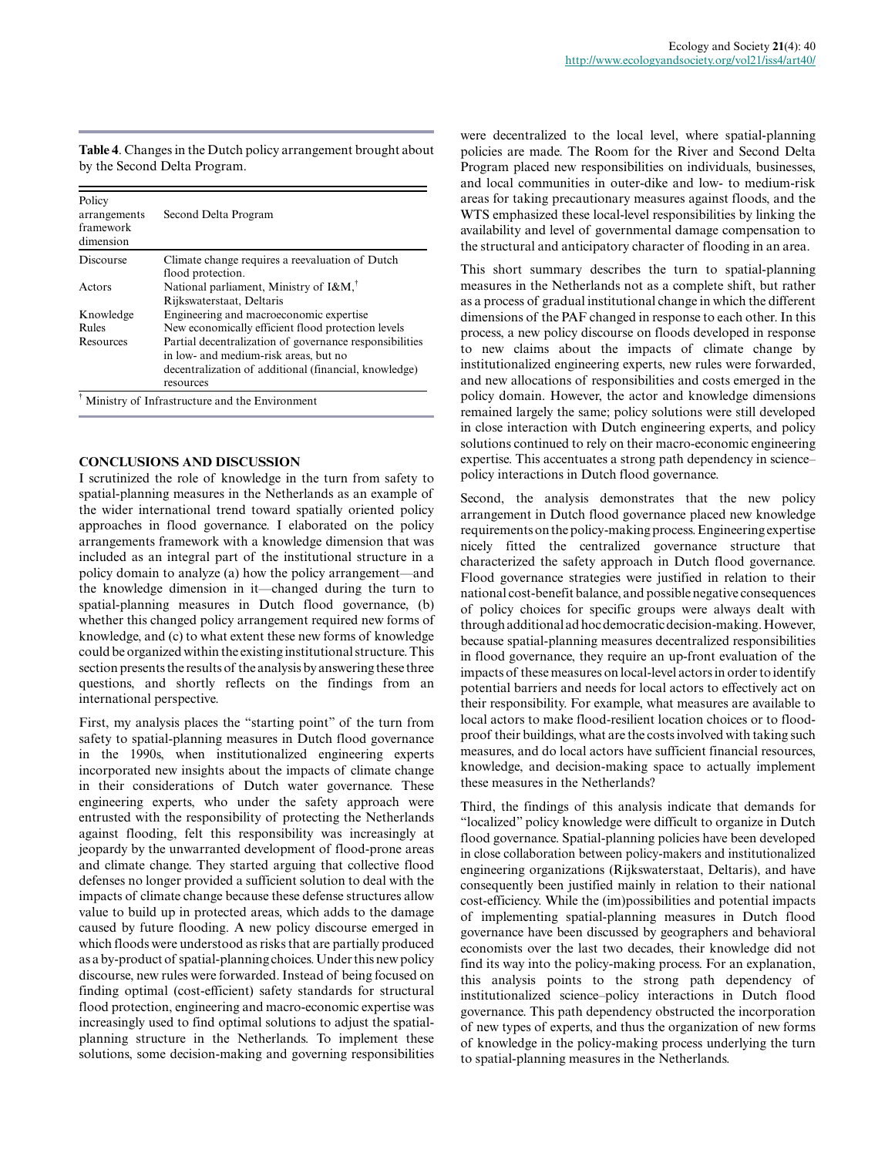**Table 4**. Changes in the Dutch policy arrangement brought about by the Second Delta Program.

| Policy<br>arrangements<br>framework<br>dimension | Second Delta Program                                                                             |
|--------------------------------------------------|--------------------------------------------------------------------------------------------------|
| Discourse                                        | Climate change requires a reevaluation of Dutch                                                  |
|                                                  | flood protection.                                                                                |
| Actors                                           | National parliament, Ministry of I&M,                                                            |
|                                                  | Rijkswaterstaat, Deltaris                                                                        |
| Knowledge                                        | Engineering and macroeconomic expertise                                                          |
| Rules                                            | New economically efficient flood protection levels                                               |
| Resources                                        | Partial decentralization of governance responsibilities<br>in low- and medium-risk areas, but no |
|                                                  | decentralization of additional (financial, knowledge)<br>resources                               |
|                                                  | Ministry of Infrastructure and the Environment                                                   |

## **CONCLUSIONS AND DISCUSSION**

I scrutinized the role of knowledge in the turn from safety to spatial-planning measures in the Netherlands as an example of the wider international trend toward spatially oriented policy approaches in flood governance. I elaborated on the policy arrangements framework with a knowledge dimension that was included as an integral part of the institutional structure in a policy domain to analyze (a) how the policy arrangement—and the knowledge dimension in it—changed during the turn to spatial-planning measures in Dutch flood governance, (b) whether this changed policy arrangement required new forms of knowledge, and (c) to what extent these new forms of knowledge could be organized within the existing institutional structure. This section presents the results of the analysis by answering these three questions, and shortly reflects on the findings from an international perspective.

First, my analysis places the "starting point" of the turn from safety to spatial-planning measures in Dutch flood governance in the 1990s, when institutionalized engineering experts incorporated new insights about the impacts of climate change in their considerations of Dutch water governance. These engineering experts, who under the safety approach were entrusted with the responsibility of protecting the Netherlands against flooding, felt this responsibility was increasingly at jeopardy by the unwarranted development of flood-prone areas and climate change. They started arguing that collective flood defenses no longer provided a sufficient solution to deal with the impacts of climate change because these defense structures allow value to build up in protected areas, which adds to the damage caused by future flooding. A new policy discourse emerged in which floods were understood as risks that are partially produced as a by-product of spatial-planning choices. Under this new policy discourse, new rules were forwarded. Instead of being focused on finding optimal (cost-efficient) safety standards for structural flood protection, engineering and macro-economic expertise was increasingly used to find optimal solutions to adjust the spatialplanning structure in the Netherlands. To implement these solutions, some decision-making and governing responsibilities

were decentralized to the local level, where spatial-planning policies are made. The Room for the River and Second Delta Program placed new responsibilities on individuals, businesses, and local communities in outer-dike and low- to medium-risk areas for taking precautionary measures against floods, and the WTS emphasized these local-level responsibilities by linking the availability and level of governmental damage compensation to the structural and anticipatory character of flooding in an area.

This short summary describes the turn to spatial-planning measures in the Netherlands not as a complete shift, but rather as a process of gradual institutional change in which the different dimensions of the PAF changed in response to each other. In this process, a new policy discourse on floods developed in response to new claims about the impacts of climate change by institutionalized engineering experts, new rules were forwarded, and new allocations of responsibilities and costs emerged in the policy domain. However, the actor and knowledge dimensions remained largely the same; policy solutions were still developed in close interaction with Dutch engineering experts, and policy solutions continued to rely on their macro-economic engineering expertise. This accentuates a strong path dependency in science– policy interactions in Dutch flood governance.

Second, the analysis demonstrates that the new policy arrangement in Dutch flood governance placed new knowledge requirements on the policy-making process. Engineering expertise nicely fitted the centralized governance structure that characterized the safety approach in Dutch flood governance. Flood governance strategies were justified in relation to their national cost-benefit balance, and possible negative consequences of policy choices for specific groups were always dealt with through additional ad hoc democratic decision-making. However, because spatial-planning measures decentralized responsibilities in flood governance, they require an up-front evaluation of the impacts of these measures on local-level actors in order to identify potential barriers and needs for local actors to effectively act on their responsibility. For example, what measures are available to local actors to make flood-resilient location choices or to floodproof their buildings, what are the costs involved with taking such measures, and do local actors have sufficient financial resources, knowledge, and decision-making space to actually implement these measures in the Netherlands?

Third, the findings of this analysis indicate that demands for "localized" policy knowledge were difficult to organize in Dutch flood governance. Spatial-planning policies have been developed in close collaboration between policy-makers and institutionalized engineering organizations (Rijkswaterstaat, Deltaris), and have consequently been justified mainly in relation to their national cost-efficiency. While the (im)possibilities and potential impacts of implementing spatial-planning measures in Dutch flood governance have been discussed by geographers and behavioral economists over the last two decades, their knowledge did not find its way into the policy-making process. For an explanation, this analysis points to the strong path dependency of institutionalized science–policy interactions in Dutch flood governance. This path dependency obstructed the incorporation of new types of experts, and thus the organization of new forms of knowledge in the policy-making process underlying the turn to spatial-planning measures in the Netherlands.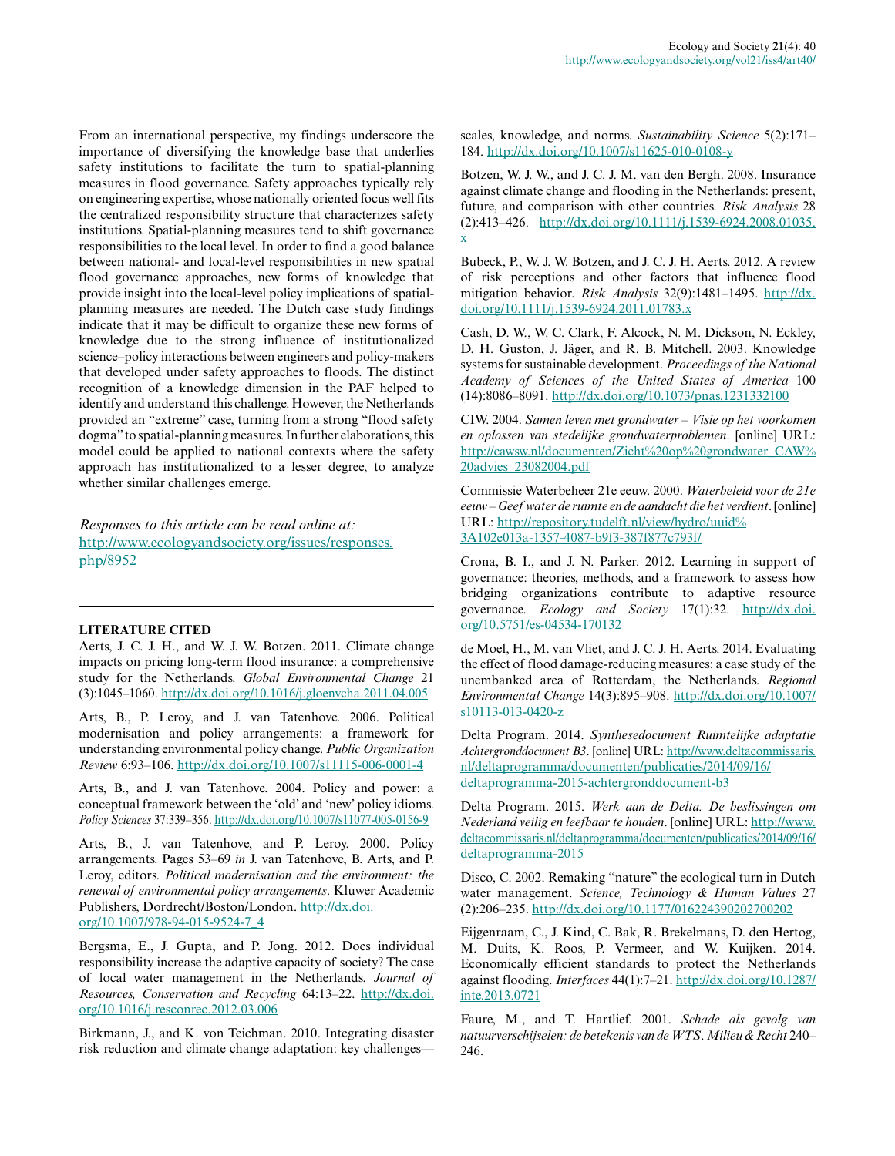From an international perspective, my findings underscore the importance of diversifying the knowledge base that underlies safety institutions to facilitate the turn to spatial-planning measures in flood governance. Safety approaches typically rely on engineering expertise, whose nationally oriented focus well fits the centralized responsibility structure that characterizes safety institutions. Spatial-planning measures tend to shift governance responsibilities to the local level. In order to find a good balance between national- and local-level responsibilities in new spatial flood governance approaches, new forms of knowledge that provide insight into the local-level policy implications of spatialplanning measures are needed. The Dutch case study findings indicate that it may be difficult to organize these new forms of knowledge due to the strong influence of institutionalized science–policy interactions between engineers and policy-makers that developed under safety approaches to floods. The distinct recognition of a knowledge dimension in the PAF helped to identify and understand this challenge. However, the Netherlands provided an "extreme" case, turning from a strong "flood safety dogma" to spatial-planning measures. In further elaborations, this model could be applied to national contexts where the safety approach has institutionalized to a lesser degree, to analyze whether similar challenges emerge.

*Responses to this article can be read online at:* [http://www.ecologyandsociety.org/issues/responses.](http://www.ecologyandsociety.org/issues/responses.php/8952) [php/8952](http://www.ecologyandsociety.org/issues/responses.php/8952)

#### **LITERATURE CITED**

Aerts, J. C. J. H., and W. J. W. Botzen. 2011. Climate change impacts on pricing long-term flood insurance: a comprehensive study for the Netherlands. *Global Environmental Change* 21 (3):1045–1060. [http://dx.doi.org/10.1016/j.gloenvcha.2011.04.005](http://dx.doi.org/10.1016%2Fj.gloenvcha.2011.04.005) 

Arts, B., P. Leroy, and J. van Tatenhove. 2006. Political modernisation and policy arrangements: a framework for understanding environmental policy change. *Public Organization Review* 6:93–106. [http://dx.doi.org/10.1007/s11115-006-0001-4](http://dx.doi.org/10.1007%2Fs11115-006-0001-4) 

Arts, B., and J. van Tatenhove. 2004. Policy and power: a conceptual framework between the 'old' and 'new' policy idioms. *Policy Sciences* 37:339–356. [http://dx.doi.org/10.1007/s11077-005-0156-9](http://dx.doi.org/10.1007%2Fs11077-005-0156-9)

Arts, B., J. van Tatenhove, and P. Leroy. 2000. Policy arrangements. Pages 53–69 *in* J. van Tatenhove, B. Arts, and P. Leroy, editors. *Political modernisation and the environment: the renewal of environmental policy arrangements*. Kluwer Academic Publishers, Dordrecht/Boston/London. [http://dx.doi.](http://dx.doi.org/10.1007%2F978-94-015-9524-7_4) [org/10.1007/978-94-015-9524-7\\_4](http://dx.doi.org/10.1007%2F978-94-015-9524-7_4) 

Bergsma, E., J. Gupta, and P. Jong. 2012. Does individual responsibility increase the adaptive capacity of society? The case of local water management in the Netherlands. *Journal of Resources, Conservation and Recycling* 64:13–22. [http://dx.doi.](http://dx.doi.org/10.1016%2Fj.resconrec.2012.03.006) [org/10.1016/j.resconrec.2012.03.006](http://dx.doi.org/10.1016%2Fj.resconrec.2012.03.006) 

Birkmann, J., and K. von Teichman. 2010. Integrating disaster risk reduction and climate change adaptation: key challengesscales, knowledge, and norms. *Sustainability Science* 5(2):171– 184. [http://dx.doi.org/10.1007/s11625-010-0108-y](http://dx.doi.org/10.1007%2Fs11625-010-0108-y)

Botzen, W. J. W., and J. C. J. M. van den Bergh. 2008. Insurance against climate change and flooding in the Netherlands: present, future, and comparison with other countries. *Risk Analysis* 28 (2):413–426. [http://dx.doi.org/10.1111/j.1539-6924.2008.01035.](http://dx.doi.org/10.1111%2Fj.1539-6924.2008.01035.x) [x](http://dx.doi.org/10.1111%2Fj.1539-6924.2008.01035.x) 

Bubeck, P., W. J. W. Botzen, and J. C. J. H. Aerts. 2012. A review of risk perceptions and other factors that influence flood mitigation behavior. *Risk Analysis* 32(9):1481–1495. [http://dx.](http://dx.doi.org/10.1111%2Fj.1539-6924.2011.01783.x) [doi.org/10.1111/j.1539-6924.2011.01783.x](http://dx.doi.org/10.1111%2Fj.1539-6924.2011.01783.x)

Cash, D. W., W. C. Clark, F. Alcock, N. M. Dickson, N. Eckley, D. H. Guston, J. Jäger, and R. B. Mitchell. 2003. Knowledge systems for sustainable development. *Proceedings of the National Academy of Sciences of the United States of America* 100 (14):8086–8091. [http://dx.doi.org/10.1073/pnas.1231332100](http://dx.doi.org/10.1073%2Fpnas.1231332100) 

CIW. 2004. *Samen leven met grondwater – Visie op het voorkomen en oplossen van stedelijke grondwaterproblemen*. [online] URL: [http://cawsw.nl/documenten/Zicht%20op%20grondwater\\_CAW%](http://cawsw.nl/documenten/Zicht%20op%20grondwater_CAW%20advies_23082004.pdf) [20advies\\_23082004.pdf](http://cawsw.nl/documenten/Zicht%20op%20grondwater_CAW%20advies_23082004.pdf)

Commissie Waterbeheer 21e eeuw. 2000. *Waterbeleid voor de 21e eeuw – Geef water de ruimte en de aandacht die het verdient*. [online] URL: [http://repository.tudelft.nl/view/hydro/uuid%](http://repository.tudelft.nl/view/hydro/uuid%3A102e013a-1357-4087-b9f3-387f877c793f/) [3A102e013a-1357-4087-b9f3-387f877c793f/](http://repository.tudelft.nl/view/hydro/uuid%3A102e013a-1357-4087-b9f3-387f877c793f/) 

Crona, B. I., and J. N. Parker. 2012. Learning in support of governance: theories, methods, and a framework to assess how bridging organizations contribute to adaptive resource governance. *Ecology and Society* 17(1):32. [http://dx.doi.](http://dx.doi.org/10.5751%2Fes-04534-170132) [org/10.5751/es-04534-170132](http://dx.doi.org/10.5751%2Fes-04534-170132)

de Moel, H., M. van Vliet, and J. C. J. H. Aerts. 2014. Evaluating the effect of flood damage-reducing measures: a case study of the unembanked area of Rotterdam, the Netherlands. *Regional Environmental Change* 14(3):895–908. [http://dx.doi.org/10.1007/](http://dx.doi.org/10.1007%2Fs10113-013-0420-z) [s10113-013-0420-z](http://dx.doi.org/10.1007%2Fs10113-013-0420-z)

Delta Program. 2014. *Synthesedocument Ruimtelijke adaptatie Achtergronddocument B3*. [online] URL: [http://www.deltacommissaris.](http://www.deltacommissaris.nl/deltaprogramma/documenten/publicaties/2014/09/16/deltaprogramma-2015-achtergronddocument-b3) [nl/deltaprogramma/documenten/publicaties/2014/09/16/](http://www.deltacommissaris.nl/deltaprogramma/documenten/publicaties/2014/09/16/deltaprogramma-2015-achtergronddocument-b3) [deltaprogramma-2015-achtergronddocument-b3](http://www.deltacommissaris.nl/deltaprogramma/documenten/publicaties/2014/09/16/deltaprogramma-2015-achtergronddocument-b3) 

Delta Program. 2015. *Werk aan de Delta. De beslissingen om Nederland veilig en leefbaar te houden*. [online] URL: [http://www.](http://www.deltacommissaris.nl/deltaprogramma/documenten/publicaties/2014/09/16/deltaprogramma-2015) [deltacommissaris.nl/deltaprogramma/documenten/publicaties/2014/09/16/](http://www.deltacommissaris.nl/deltaprogramma/documenten/publicaties/2014/09/16/deltaprogramma-2015) [deltaprogramma-2015](http://www.deltacommissaris.nl/deltaprogramma/documenten/publicaties/2014/09/16/deltaprogramma-2015)

Disco, C. 2002. Remaking "nature" the ecological turn in Dutch water management. *Science, Technology & Human Values* 27 (2):206–235. [http://dx.doi.org/10.1177/016224390202700202](http://dx.doi.org/10.1177%2F016224390202700202)

Eijgenraam, C., J. Kind, C. Bak, R. Brekelmans, D. den Hertog, M. Duits, K. Roos, P. Vermeer, and W. Kuijken. 2014. Economically efficient standards to protect the Netherlands against flooding. *Interfaces* 44(1):7–21. [http://dx.doi.org/10.1287/](http://dx.doi.org/10.1287%2Finte.2013.0721) [inte.2013.0721](http://dx.doi.org/10.1287%2Finte.2013.0721) 

Faure, M., and T. Hartlief. 2001. *Schade als gevolg van natuurverschijselen: de betekenis van de WTS*. *Milieu & Recht* 240– 246.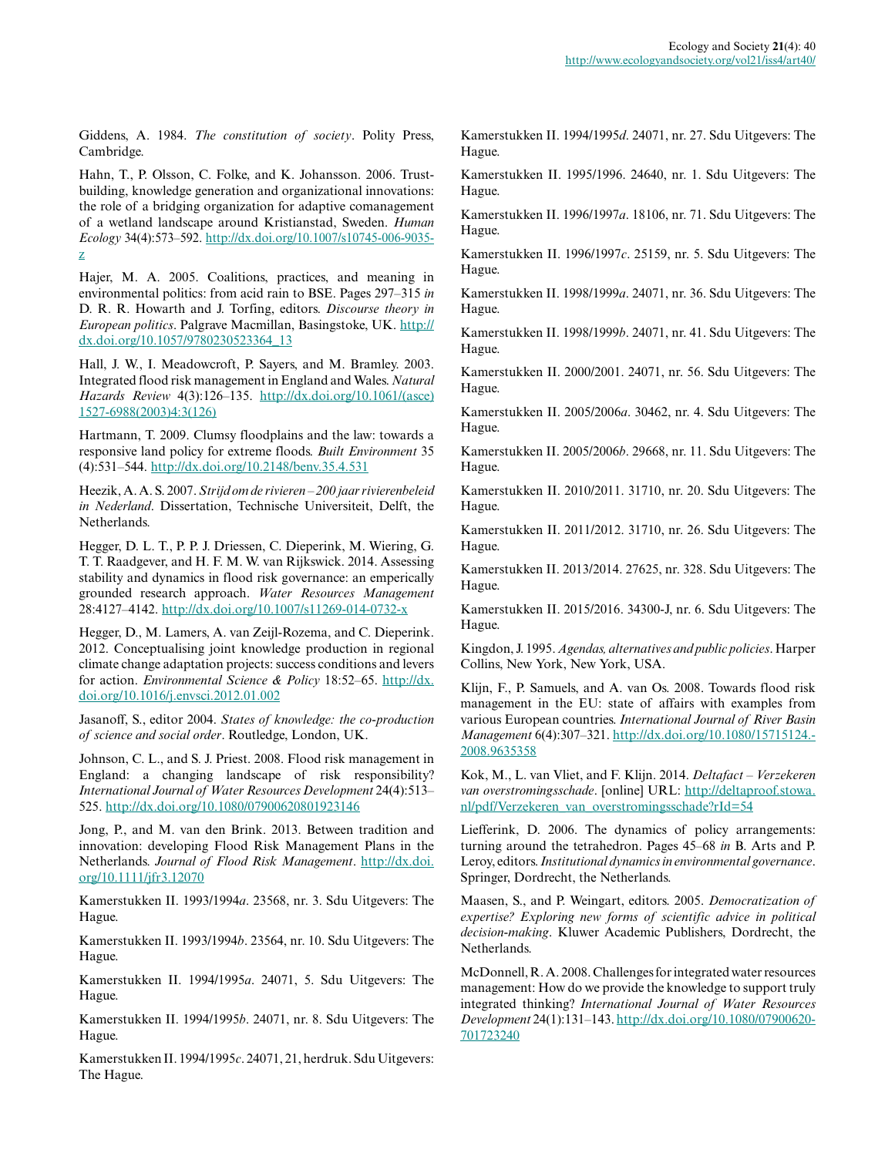Giddens, A. 1984. *The constitution of society*. Polity Press, Cambridge.

Hahn, T., P. Olsson, C. Folke, and K. Johansson. 2006. Trustbuilding, knowledge generation and organizational innovations: the role of a bridging organization for adaptive comanagement of a wetland landscape around Kristianstad, Sweden. *Human Ecology* 34(4):573–592. [http://dx.doi.org/10.1007/s10745-006-9035](http://dx.doi.org/10.1007%2Fs10745-006-9035-z) [z](http://dx.doi.org/10.1007%2Fs10745-006-9035-z) 

Hajer, M. A. 2005. Coalitions, practices, and meaning in environmental politics: from acid rain to BSE. Pages 297–315 *in* D. R. R. Howarth and J. Torfing, editors. *Discourse theory in European politics*. Palgrave Macmillan, Basingstoke, UK. [http://](http://dx.doi.org/10.1057%2F9780230523364_13) [dx.doi.org/10.1057/9780230523364\\_13](http://dx.doi.org/10.1057%2F9780230523364_13) 

Hall, J. W., I. Meadowcroft, P. Sayers, and M. Bramley. 2003. Integrated flood risk management in England and Wales. *Natural Hazards Review* 4(3):126–135. [http://dx.doi.org/10.1061/\(asce\)](http://dx.doi.org/10.1061%2F%28asce%291527-6988%282003%294%3A3%28126%29) [1527-6988\(2003\)4:3\(126\)](http://dx.doi.org/10.1061%2F%28asce%291527-6988%282003%294%3A3%28126%29) 

Hartmann, T. 2009. Clumsy floodplains and the law: towards a responsive land policy for extreme floods. *Built Environment* 35 (4):531–544. [http://dx.doi.org/10.2148/benv.35.4.531](http://dx.doi.org/10.2148%2Fbenv.35.4.531)

Heezik, A. A. S. 2007. *Strijd om de rivieren – 200 jaar rivierenbeleid in Nederland*. Dissertation, Technische Universiteit, Delft, the Netherlands.

Hegger, D. L. T., P. P. J. Driessen, C. Dieperink, M. Wiering, G. T. T. Raadgever, and H. F. M. W. van Rijkswick. 2014. Assessing stability and dynamics in flood risk governance: an emperically grounded research approach. *Water Resources Management* 28:4127–4142. [http://dx.doi.org/10.1007/s11269-014-0732-x](http://dx.doi.org/10.1007%2Fs11269-014-0732-x) 

Hegger, D., M. Lamers, A. van Zeijl-Rozema, and C. Dieperink. 2012. Conceptualising joint knowledge production in regional climate change adaptation projects: success conditions and levers for action. *Environmental Science & Policy* 18:52–65. [http://dx.](http://dx.doi.org/10.1016%2Fj.envsci.2012.01.002) [doi.org/10.1016/j.envsci.2012.01.002](http://dx.doi.org/10.1016%2Fj.envsci.2012.01.002) 

Jasanoff, S., editor 2004. *States of knowledge: the co-production of science and social order*. Routledge, London, UK.

Johnson, C. L., and S. J. Priest. 2008. Flood risk management in England: a changing landscape of risk responsibility? *International Journal of Water Resources Development* 24(4):513– 525. [http://dx.doi.org/10.1080/07900620801923146](http://dx.doi.org/10.1080%2F07900620801923146)

Jong, P., and M. van den Brink. 2013. Between tradition and innovation: developing Flood Risk Management Plans in the Netherlands. *Journal of Flood Risk Management*. [http://dx.doi.](http://dx.doi.org/10.1111%2Fjfr3.12070) [org/10.1111/jfr3.12070](http://dx.doi.org/10.1111%2Fjfr3.12070) 

Kamerstukken II. 1993/1994*a*. 23568, nr. 3. Sdu Uitgevers: The Hague.

Kamerstukken II. 1993/1994*b*. 23564, nr. 10. Sdu Uitgevers: The Hague.

Kamerstukken II. 1994/1995*a*. 24071, 5. Sdu Uitgevers: The Hague.

Kamerstukken II. 1994/1995*b*. 24071, nr. 8. Sdu Uitgevers: The Hague.

Kamerstukken II. 1994/1995*c*. 24071, 21, herdruk. Sdu Uitgevers: The Hague.

Kamerstukken II. 1994/1995*d*. 24071, nr. 27. Sdu Uitgevers: The Hague.

Kamerstukken II. 1995/1996. 24640, nr. 1. Sdu Uitgevers: The Hague.

Kamerstukken II. 1996/1997*a*. 18106, nr. 71. Sdu Uitgevers: The Hague.

Kamerstukken II. 1996/1997*c*. 25159, nr. 5. Sdu Uitgevers: The Hague.

Kamerstukken II. 1998/1999*a*. 24071, nr. 36. Sdu Uitgevers: The Hague.

Kamerstukken II. 1998/1999*b*. 24071, nr. 41. Sdu Uitgevers: The Hague.

Kamerstukken II. 2000/2001. 24071, nr. 56. Sdu Uitgevers: The Hague.

Kamerstukken II. 2005/2006*a*. 30462, nr. 4. Sdu Uitgevers: The Hague.

Kamerstukken II. 2005/2006*b*. 29668, nr. 11. Sdu Uitgevers: The Hague.

Kamerstukken II. 2010/2011. 31710, nr. 20. Sdu Uitgevers: The Hague.

Kamerstukken II. 2011/2012. 31710, nr. 26. Sdu Uitgevers: The Hague.

Kamerstukken II. 2013/2014. 27625, nr. 328. Sdu Uitgevers: The Hague.

Kamerstukken II. 2015/2016. 34300-J, nr. 6. Sdu Uitgevers: The Hague.

Kingdon, J. 1995. *Agendas, alternatives and public policies*. Harper Collins, New York, New York, USA.

Klijn, F., P. Samuels, and A. van Os. 2008. Towards flood risk management in the EU: state of affairs with examples from various European countries. *International Journal of River Basin Management* 6(4):307–321. [http://dx.doi.org/10.1080/15715124.](http://dx.doi.org/10.1080%2F15715124.2008.9635358) [2008.9635358](http://dx.doi.org/10.1080%2F15715124.2008.9635358) 

Kok, M., L. van Vliet, and F. Klijn. 2014. *Deltafact – Verzekeren van overstromingsschade*. [online] URL: [http://deltaproof.stowa.](http://deltaproof.stowa.nl/pdf/Verzekeren_van_overstromingsschade?rId=54) [nl/pdf/Verzekeren\\_van\\_overstromingsschade?rId=54](http://deltaproof.stowa.nl/pdf/Verzekeren_van_overstromingsschade?rId=54)

Liefferink, D. 2006. The dynamics of policy arrangements: turning around the tetrahedron. Pages 45–68 *in* B. Arts and P. Leroy, editors. *Institutional dynamics in environmental governance*. Springer, Dordrecht, the Netherlands.

Maasen, S., and P. Weingart, editors. 2005. *Democratization of expertise? Exploring new forms of scientific advice in political decision-making*. Kluwer Academic Publishers, Dordrecht, the Netherlands.

McDonnell, R. A. 2008. Challenges for integrated water resources management: How do we provide the knowledge to support truly integrated thinking? *International Journal of Water Resources Development* 24(1):131–143. [http://dx.doi.org/10.1080/07900620](http://dx.doi.org/10.1080%2F07900620701723240) [701723240](http://dx.doi.org/10.1080%2F07900620701723240)